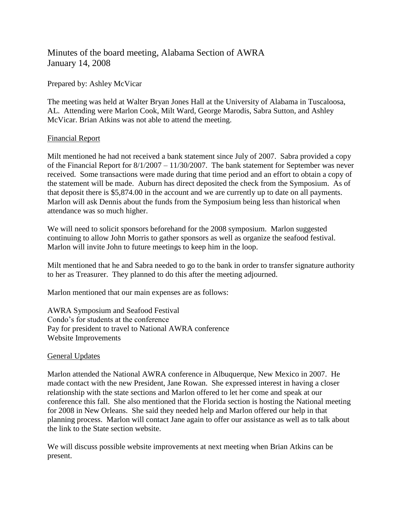# Minutes of the board meeting, Alabama Section of AWRA January 14, 2008

Prepared by: Ashley McVicar

The meeting was held at Walter Bryan Jones Hall at the University of Alabama in Tuscaloosa, AL. Attending were Marlon Cook, Milt Ward, George Marodis, Sabra Sutton, and Ashley McVicar. Brian Atkins was not able to attend the meeting.

## Financial Report

Milt mentioned he had not received a bank statement since July of 2007. Sabra provided a copy of the Financial Report for 8/1/2007 – 11/30/2007. The bank statement for September was never received. Some transactions were made during that time period and an effort to obtain a copy of the statement will be made. Auburn has direct deposited the check from the Symposium. As of that deposit there is \$5,874.00 in the account and we are currently up to date on all payments. Marlon will ask Dennis about the funds from the Symposium being less than historical when attendance was so much higher.

We will need to solicit sponsors beforehand for the 2008 symposium. Marlon suggested continuing to allow John Morris to gather sponsors as well as organize the seafood festival. Marlon will invite John to future meetings to keep him in the loop.

Milt mentioned that he and Sabra needed to go to the bank in order to transfer signature authority to her as Treasurer. They planned to do this after the meeting adjourned.

Marlon mentioned that our main expenses are as follows:

AWRA Symposium and Seafood Festival Condo's for students at the conference Pay for president to travel to National AWRA conference Website Improvements

## General Updates

Marlon attended the National AWRA conference in Albuquerque, New Mexico in 2007. He made contact with the new President, Jane Rowan. She expressed interest in having a closer relationship with the state sections and Marlon offered to let her come and speak at our conference this fall. She also mentioned that the Florida section is hosting the National meeting for 2008 in New Orleans. She said they needed help and Marlon offered our help in that planning process. Marlon will contact Jane again to offer our assistance as well as to talk about the link to the State section website.

We will discuss possible website improvements at next meeting when Brian Atkins can be present.